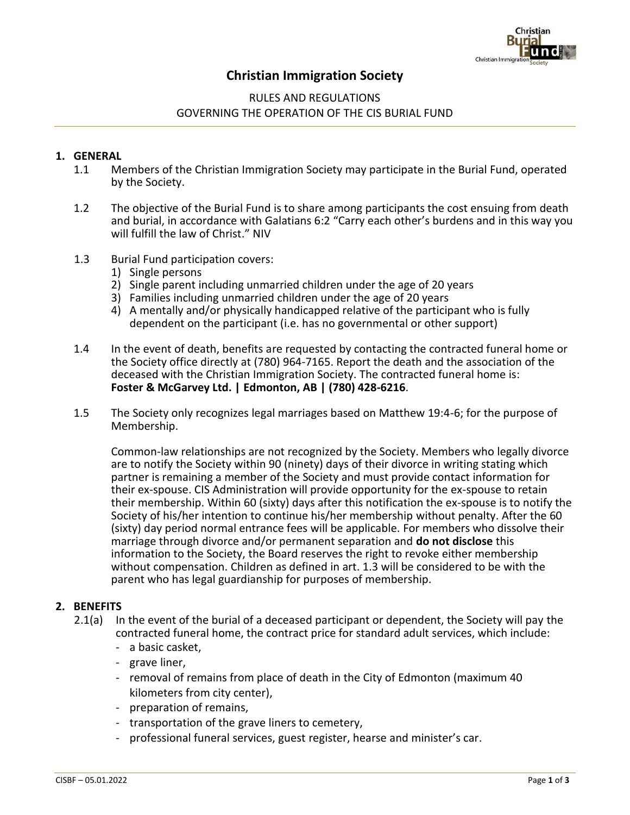

# **Christian Immigration Society**

## RULES AND REGULATIONS GOVERNING THE OPERATION OF THE CIS BURIAL FUND

### **1. GENERAL**

- 1.1 Members of the Christian Immigration Society may participate in the Burial Fund, operated by the Society.
- 1.2 The objective of the Burial Fund is to share among participants the cost ensuing from death and burial, in accordance with Galatians 6:2 "Carry each other's burdens and in this way you will fulfill the law of Christ." NIV
- 1.3 Burial Fund participation covers:
	- 1) Single persons
	- 2) Single parent including unmarried children under the age of 20 years
	- 3) Families including unmarried children under the age of 20 years
	- 4) A mentally and/or physically handicapped relative of the participant who is fully dependent on the participant (i.e. has no governmental or other support)
- 1.4 In the event of death, benefits are requested by contacting the contracted funeral home or the Society office directly at (780) 964-7165. Report the death and the association of the deceased with the Christian Immigration Society. The contracted funeral home is: **Foster & McGarvey Ltd. | Edmonton, AB | (780) 428-6216**.
- 1.5 The Society only recognizes legal marriages based on Matthew 19:4-6; for the purpose of Membership.

Common-law relationships are not recognized by the Society. Members who legally divorce are to notify the Society within 90 (ninety) days of their divorce in writing stating which partner is remaining a member of the Society and must provide contact information for their ex-spouse. CIS Administration will provide opportunity for the ex-spouse to retain their membership. Within 60 (sixty) days after this notification the ex-spouse is to notify the Society of his/her intention to continue his/her membership without penalty. After the 60 (sixty) day period normal entrance fees will be applicable. For members who dissolve their marriage through divorce and/or permanent separation and **do not disclose** this information to the Society, the Board reserves the right to revoke either membership without compensation. Children as defined in art. 1.3 will be considered to be with the parent who has legal guardianship for purposes of membership.

### **2. BENEFITS**

- 2.1(a) In the event of the burial of a deceased participant or dependent, the Society will pay the contracted funeral home, the contract price for standard adult services, which include:
	- a basic casket,
	- grave liner,
	- removal of remains from place of death in the City of Edmonton (maximum 40 kilometers from city center),
	- preparation of remains,
	- transportation of the grave liners to cemetery,
	- professional funeral services, guest register, hearse and minister's car.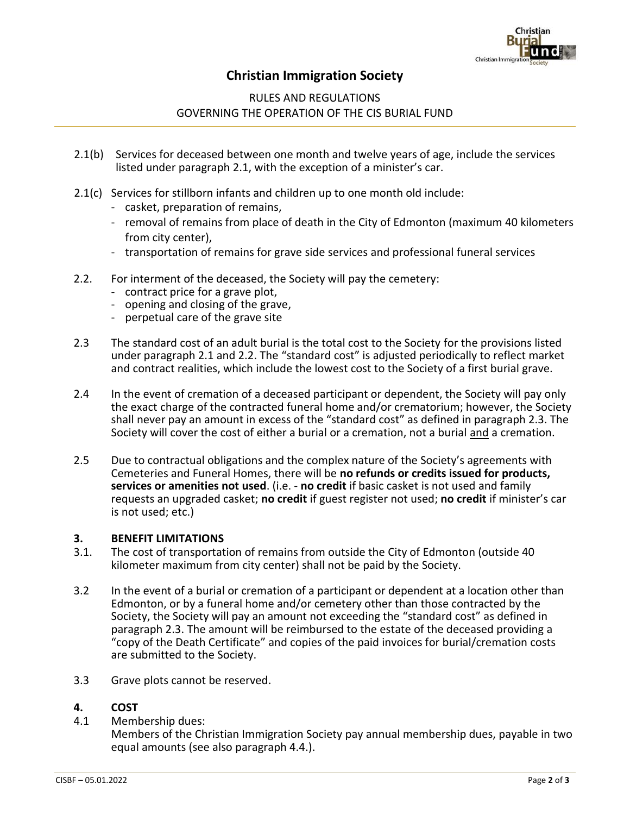

# **Christian Immigration Society**

## RULES AND REGULATIONS GOVERNING THE OPERATION OF THE CIS BURIAL FUND

- 2.1(b) Services for deceased between one month and twelve years of age, include the services listed under paragraph 2.1, with the exception of a minister's car.
- 2.1(c) Services for stillborn infants and children up to one month old include:
	- casket, preparation of remains,
	- removal of remains from place of death in the City of Edmonton (maximum 40 kilometers from city center),
	- transportation of remains for grave side services and professional funeral services
- 2.2. For interment of the deceased, the Society will pay the cemetery:
	- contract price for a grave plot,
	- opening and closing of the grave,
	- perpetual care of the grave site
- 2.3 The standard cost of an adult burial is the total cost to the Society for the provisions listed under paragraph 2.1 and 2.2. The "standard cost" is adjusted periodically to reflect market and contract realities, which include the lowest cost to the Society of a first burial grave.
- 2.4 In the event of cremation of a deceased participant or dependent, the Society will pay only the exact charge of the contracted funeral home and/or crematorium; however, the Society shall never pay an amount in excess of the "standard cost" as defined in paragraph 2.3. The Society will cover the cost of either a burial or a cremation, not a burial and a cremation.
- 2.5 Due to contractual obligations and the complex nature of the Society's agreements with Cemeteries and Funeral Homes, there will be **no refunds or credits issued for products, services or amenities not used**. (i.e. - **no credit** if basic casket is not used and family requests an upgraded casket; **no credit** if guest register not used; **no credit** if minister's car is not used; etc.)

### **3. BENEFIT LIMITATIONS**

- 3.1. The cost of transportation of remains from outside the City of Edmonton (outside 40 kilometer maximum from city center) shall not be paid by the Society.
- 3.2 In the event of a burial or cremation of a participant or dependent at a location other than Edmonton, or by a funeral home and/or cemetery other than those contracted by the Society, the Society will pay an amount not exceeding the "standard cost" as defined in paragraph 2.3. The amount will be reimbursed to the estate of the deceased providing a "copy of the Death Certificate" and copies of the paid invoices for burial/cremation costs are submitted to the Society.
- 3.3 Grave plots cannot be reserved.

### **4. COST**

4.1 Membership dues:

Members of the Christian Immigration Society pay annual membership dues, payable in two equal amounts (see also paragraph 4.4.).